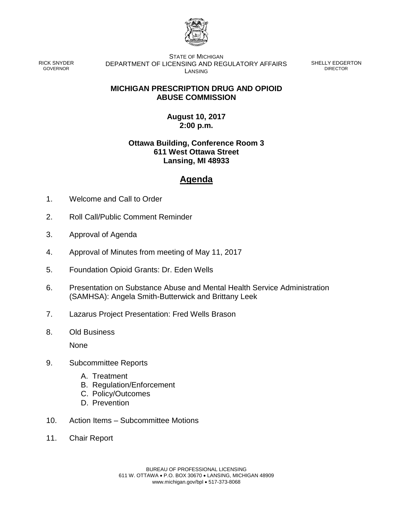

RICK SNYDER GOVERNOR

STATE OF MICHIGAN DEPARTMENT OF LICENSING AND REGULATORY AFFAIRS LANSING

SHELLY EDGERTON DIRECTOR

## **MICHIGAN PRESCRIPTION DRUG AND OPIOID ABUSE COMMISSION**

## **August 10, 2017 2:00 p.m.**

## **Ottawa Building, Conference Room 3 611 West Ottawa Street Lansing, MI 48933**

## **Agenda**

- 1. Welcome and Call to Order
- 2. Roll Call/Public Comment Reminder
- 3. Approval of Agenda
- 4. Approval of Minutes from meeting of May 11, 2017
- 5. Foundation Opioid Grants: Dr. Eden Wells
- 6. Presentation on Substance Abuse and Mental Health Service Administration (SAMHSA): Angela Smith-Butterwick and Brittany Leek
- 7. Lazarus Project Presentation: Fred Wells Brason
- 8. Old Business

None

- 9. Subcommittee Reports
	- A. Treatment
	- B. Regulation/Enforcement
	- C. Policy/Outcomes
	- D. Prevention
- 10. Action Items Subcommittee Motions
- 11. Chair Report